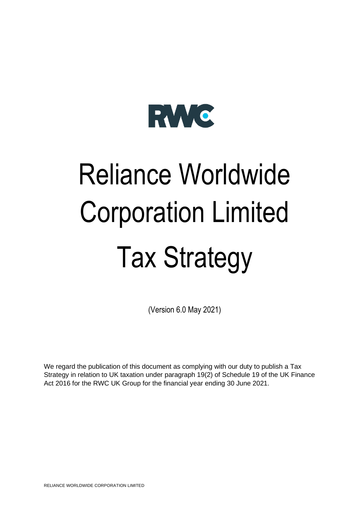

# Reliance Worldwide Corporation Limited Tax Strategy

(Version 6.0 May 2021)

We regard the publication of this document as complying with our duty to publish a Tax Strategy in relation to UK taxation under paragraph 19(2) of Schedule 19 of the UK Finance Act 2016 for the RWC UK Group for the financial year ending 30 June 2021.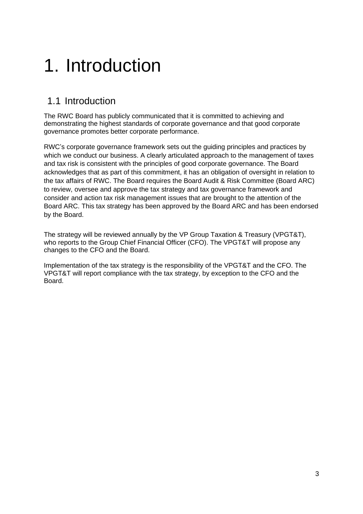# 1. Introduction

#### 1.1 Introduction

The RWC Board has publicly communicated that it is committed to achieving and demonstrating the highest standards of corporate governance and that good corporate governance promotes better corporate performance.

RWC's corporate governance framework sets out the guiding principles and practices by which we conduct our business. A clearly articulated approach to the management of taxes and tax risk is consistent with the principles of good corporate governance. The Board acknowledges that as part of this commitment, it has an obligation of oversight in relation to the tax affairs of RWC. The Board requires the Board Audit & Risk Committee (Board ARC) to review, oversee and approve the tax strategy and tax governance framework and consider and action tax risk management issues that are brought to the attention of the Board ARC. This tax strategy has been approved by the Board ARC and has been endorsed by the Board.

The strategy will be reviewed annually by the VP Group Taxation & Treasury (VPGT&T), who reports to the Group Chief Financial Officer (CFO). The VPGT&T will propose any changes to the CFO and the Board.

Implementation of the tax strategy is the responsibility of the VPGT&T and the CFO. The VPGT&T will report compliance with the tax strategy, by exception to the CFO and the Board.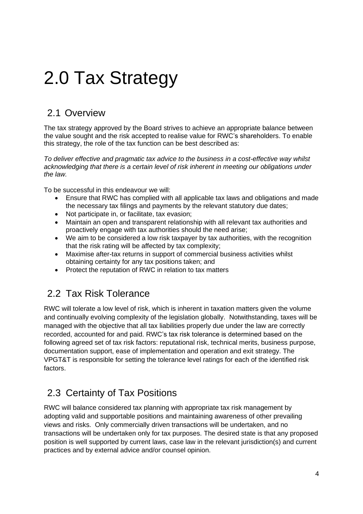## 2.0 Tax Strategy

### 2.1 Overview

The tax strategy approved by the Board strives to achieve an appropriate balance between the value sought and the risk accepted to realise value for RWC's shareholders. To enable this strategy, the role of the tax function can be best described as:

*To deliver effective and pragmatic tax advice to the business in a cost-effective way whilst acknowledging that there is a certain level of risk inherent in meeting our obligations under the law.*

To be successful in this endeavour we will:

- Ensure that RWC has complied with all applicable tax laws and obligations and made the necessary tax filings and payments by the relevant statutory due dates;
- Not participate in, or facilitate, tax evasion;
- Maintain an open and transparent relationship with all relevant tax authorities and proactively engage with tax authorities should the need arise;
- We aim to be considered a low risk taxpayer by tax authorities, with the recognition that the risk rating will be affected by tax complexity;
- Maximise after-tax returns in support of commercial business activities whilst obtaining certainty for any tax positions taken; and
- Protect the reputation of RWC in relation to tax matters

#### 2.2 Tax Risk Tolerance

RWC will tolerate a low level of risk, which is inherent in taxation matters given the volume and continually evolving complexity of the legislation globally. Notwithstanding, taxes will be managed with the objective that all tax liabilities properly due under the law are correctly recorded, accounted for and paid. RWC's tax risk tolerance is determined based on the following agreed set of tax risk factors: reputational risk, technical merits, business purpose, documentation support, ease of implementation and operation and exit strategy. The VPGT&T is responsible for setting the tolerance level ratings for each of the identified risk factors.

#### 2.3 Certainty of Tax Positions

RWC will balance considered tax planning with appropriate tax risk management by adopting valid and supportable positions and maintaining awareness of other prevailing views and risks. Only commercially driven transactions will be undertaken, and no transactions will be undertaken only for tax purposes. The desired state is that any proposed position is well supported by current laws, case law in the relevant jurisdiction(s) and current practices and by external advice and/or counsel opinion.